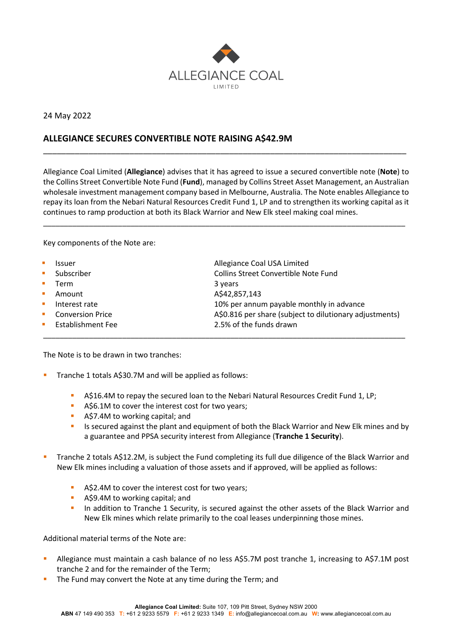

24 May 2022

## **ALLEGIANCE SECURES CONVERTIBLE NOTE RAISING A\$42.9M**

Allegiance Coal Limited (**Allegiance**) advises that it has agreed to issue a secured convertible note (**Note**) to the Collins Street Convertible Note Fund (**Fund**), managed by Collins Street Asset Management, an Australian wholesale investment management company based in Melbourne, Australia. The Note enables Allegiance to repay its loan from the Nebari Natural Resources Credit Fund 1, LP and to strengthen its working capital as it continues to ramp production at both its Black Warrior and New Elk steel making coal mines.

\_\_\_\_\_\_\_\_\_\_\_\_\_\_\_\_\_\_\_\_\_\_\_\_\_\_\_\_\_\_\_\_\_\_\_\_\_\_\_\_\_\_\_\_\_\_\_\_\_\_\_\_\_\_\_\_\_\_\_\_\_\_\_\_\_\_\_\_\_\_\_\_\_\_\_\_\_\_\_\_\_\_\_\_\_\_\_

\_\_\_\_\_\_\_\_\_\_\_\_\_\_\_\_\_\_\_\_\_\_\_\_\_\_\_\_\_\_\_\_\_\_\_\_\_\_\_\_\_\_\_\_\_\_\_\_\_\_\_\_\_\_\_\_\_\_\_\_\_\_\_\_\_\_\_\_\_\_\_\_\_\_\_\_\_\_\_\_

Key components of the Note are:

| $\mathcal{L}_{\mathcal{A}}$ | <b>Issuer</b>           | Allegiance Coal USA Limited                             |
|-----------------------------|-------------------------|---------------------------------------------------------|
| $\mathcal{L}_{\mathcal{A}}$ | Subscriber              | Collins Street Convertible Note Fund                    |
| $\mathcal{L}_{\mathcal{A}}$ | Term                    | 3 years                                                 |
| <b>In</b>                   | Amount                  | A\$42,857,143                                           |
| $\mathcal{L}_{\mathcal{A}}$ | Interest rate           | 10% per annum payable monthly in advance                |
| $\mathcal{L}_{\mathcal{A}}$ | <b>Conversion Price</b> | A\$0.816 per share (subject to dilutionary adjustments) |
| $\mathbf{u}$                | Establishment Fee       | 2.5% of the funds drawn                                 |
|                             |                         |                                                         |

The Note is to be drawn in two tranches:

- **•** Tranche 1 totals A\$30.7M and will be applied as follows:
	- § A\$16.4M to repay the secured loan to the Nebari Natural Resources Credit Fund 1, LP;
	- A\$6.1M to cover the interest cost for two years;
	- **A\$7.4M to working capital; and**
	- Is secured against the plant and equipment of both the Black Warrior and New Elk mines and by a guarantee and PPSA security interest from Allegiance (**Tranche 1 Security**).
- § Tranche 2 totals A\$12.2M, is subject the Fund completing its full due diligence of the Black Warrior and New Elk mines including a valuation of those assets and if approved, will be applied as follows:
	- A\$2.4M to cover the interest cost for two years;
	- **A\$9.4M to working capital; and**
	- **•** In addition to Tranche 1 Security, is secured against the other assets of the Black Warrior and New Elk mines which relate primarily to the coal leases underpinning those mines.

Additional material terms of the Note are:

- <sup>■</sup> Allegiance must maintain a cash balance of no less A\$5.7M post tranche 1, increasing to A\$7.1M post tranche 2 and for the remainder of the Term;
- The Fund may convert the Note at any time during the Term; and